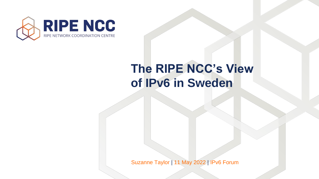



### **The RIPE NCC's View of IPv6 in Sweden**

Suzanne Taylor | 11 May 2022 | IPv6 Forum

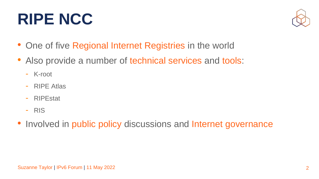

- One of five Regional Internet Registries in the world
- Also provide a number of technical services and tools:
	- K-root
	- RIPE Atlas
	- RIPEstat
	- RIS
- Involved in public policy discussions and Internet governance

## **RIPE NCC**

2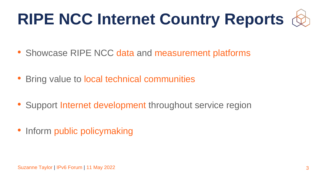- Showcase RIPE NCC data and measurement platforms
- Bring value to local technical communities
- Support Internet development throughout service region
- Inform public policymaking





3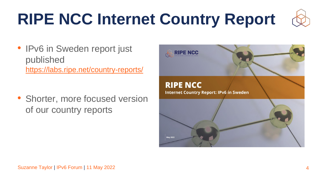



### **RIPE NCC Internet Country Report: IPv6 in Sweden**





## **RIPE NCC Internet Country Report**

• IPv6 in Sweden report just published <https://labs.ripe.net/country-reports/>

• Shorter, more focused version of our country reports

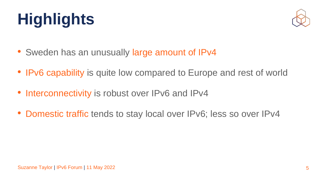

### • IPv6 capability is quite low compared to Europe and rest of world

- Sweden has an unusually large amount of IPv4
- 
- Interconnectivity is robust over IPv6 and IPv4
- Domestic traffic tends to stay local over IPv6; less so over IPv4

## **Highlights**

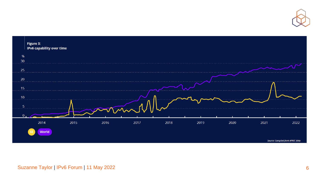



Source: Compiled from APNIC data



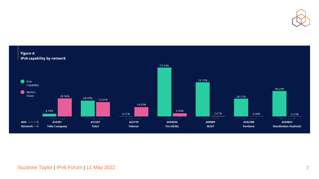





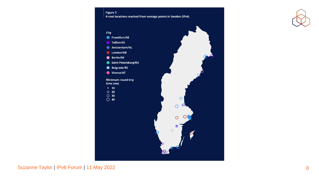Figure 7:



time (ms)

- $\circ$  10
- $O$  20
- 
- $\bigcirc$  30<br>  $\bigcirc$  40





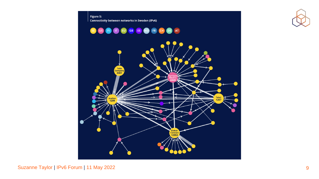



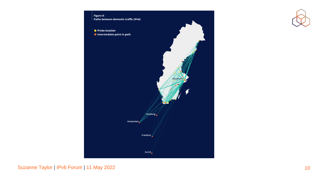Figure 8: Paths between domestic traffic (IPv6)

● Probe location  $\bullet$  Intermediate point in path

Amsterdam

**Frankfurt** 





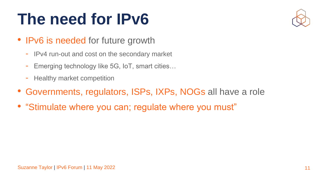

### **The need for IPv6**

- IPv6 is needed for future growth
	- IPv4 run-out and cost on the secondary market
	- Emerging technology like 5G, IoT, smart cities…
	- Healthy market competition
- Governments, regulators, ISPs, IXPs, NOGs all have a role
- "Stimulate where you can; regulate where you must"

11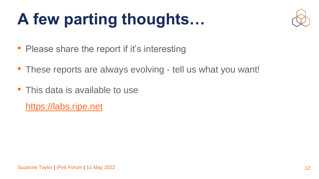



## **A few parting thoughts…**

- Please share the report if it's interesting
- These reports are always evolving tell us what you want!
- This data is available to use [https://labs.ripe.net](https://labs.ripe.net/)

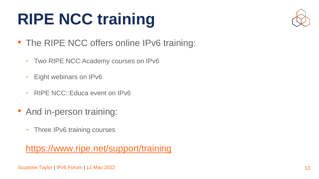





## **RIPE NCC training**

- The RIPE NCC offers online IPv6 training:
	- Two RIPE NCC Academy courses on IPv6
	- Eight webinars on IPv6
	- RIPE NCC::Educa event on IPv6
- And in-person training:
	- Three IPv6 training courses

<https://www.ripe.net/support/training>

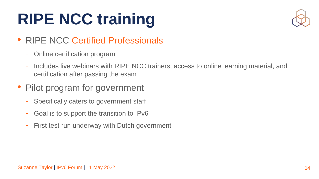



### Includes live webinars with RIPE NCC trainers, access to online learning material, and

## **RIPE NCC training**

### • RIPE NCC Certified Professionals

- Specifically caters to government staff
- Goal is to support the transition to IPv6
- First test run underway with Dutch government
- Online certification program
- certification after passing the exam

### • Pilot program for government

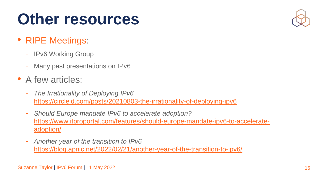

### **Other resources**

- RIPE Meetings:
	- **IPv6 Working Group**
	- Many past presentations on IPv6
- A few articles:
	- *The Irrationality of Deploying IPv6*  <https://circleid.com/posts/20210803-the-irrationality-of-deploying-ipv6>
	- *Should Europe mandate IPv6 to accelerate adoption?*  adoption/
	- *Another year of the transition to IPv6*  <https://blog.apnic.net/2022/02/21/another-year-of-the-transition-to-ipv6/>

[https://www.itproportal.com/features/should-europe-mandate-ipv6-to-accelerate-](https://www.itproportal.com/features/should-europe-mandate-ipv6-to-accelerate-adoption/)